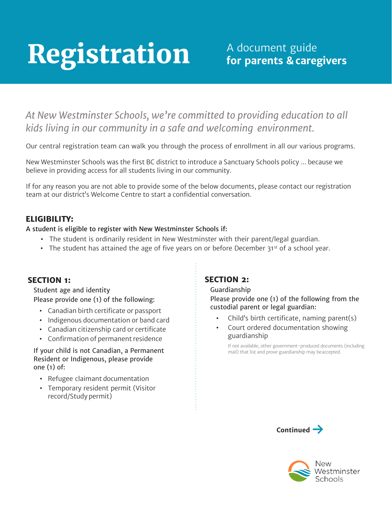# Registration

# *At New Westminster Schools, we're committed to providing education to all kids living in our community in a safe and welcoming environment.*

Our central registration team can walk you through the process of enrollment in all our various programs.

New Westminster Schools was the first BC district to introduce a Sanctuary Schools policy ... because we believe in providing access for all students living in our community.

If for any reason you are not able to provide some of the below documents, please contact our registration team at our district's Welcome Centre to start a confidential conversation.

### **ELIGIBILITY:**

A student is eligible to register with New Westminster Schools if:

- **•** The student is ordinarily resident in New Westminster with their parent/legal guardian.
- The student has attained the age of five years on or before December 31<sup>st</sup> of a school year.

#### **SECTION 1:**

Student age and identity Please provide one (1) of the following:

- **•** Canadian birth certificate or passport
- **•** Indigenous documentation or band card
- **•** Canadian citizenship card or certificate
- **•** Confirmation of permanent residence

If your child is not Canadian, a Permanent Resident or Indigenous, please provide one (1) of:

- **•** Refugee claimant documentation
- **•** Temporary resident permit (Visitor record/Study permit)

#### **SECTION 2:**

Guardianship

Please provide one (1) of the following from the custodial parent or legal guardian:

- **•** Child's birth certificate, naming parent(s)
- **•** Court ordered documentation showing guardianship

If not available, other government-produced documents (including mail) that list and prove guardianship may beaccepted.